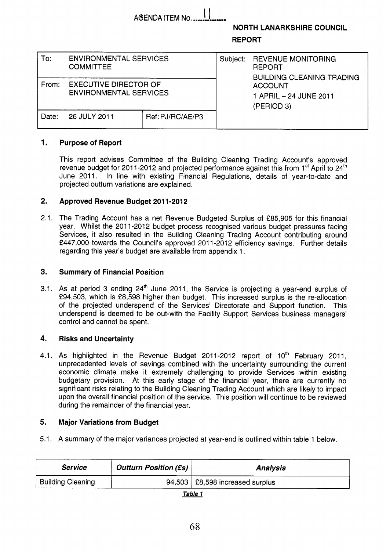|       |                                                               | AGENDA ITEM No.  | <b>NORTH LANARKSHIRE COUNCIL</b><br><b>REPORT</b> |                                                                                |  |  |
|-------|---------------------------------------------------------------|------------------|---------------------------------------------------|--------------------------------------------------------------------------------|--|--|
| To:   | <b>ENVIRONMENTAL SERVICES</b><br><b>COMMITTEE</b>             |                  | Subject:                                          | <b>REVENUE MONITORING</b><br><b>REPORT</b><br><b>BUILDING CLEANING TRADING</b> |  |  |
| From: | <b>EXECUTIVE DIRECTOR OF</b><br><b>ENVIRONMENTAL SERVICES</b> |                  |                                                   | <b>ACCOUNT</b><br>1 APRIL – 24 JUNE 2011<br>(PERIOD 3)                         |  |  |
| Date: | 26 JULY 2011                                                  | Ref: PJ/RC/AE/P3 |                                                   |                                                                                |  |  |

## **1. Purpose of Report**

This report advises Committee of the Building Cleaning Trading Account's approved revenue budget for 2011-2012 and projected performance against this from 1<sup>st</sup> April to  $24<sup>th</sup>$ June 2011. In line with existing Financial Regulations, details of year-to-date and projected outturn variations are explained.

#### **2. Approved Revenue Budget 2011-2012**

2.1. The Trading Account has a net Revenue Budgeted Surplus of £85,905 for this financial year. Whilst the 2011-2012 budget process recognised various budget pressures facing Services, it also resulted in the Building Cleaning Trading Account contributing around £447,000 towards the Council's approved 2011-2012 efficiency savings. Further details regarding this year's budget are available from appendix 1.

#### **3. Summary of Financial Position**

3.1. As at period 3 ending 24'h June 2011, the Service is projecting a year-end surplus of £94,503, which is £8,598 higher than budget. This increased surplus is the re-allocation of the projected underspend of the Services' Directorate and Support function. This underspend is deemed to be out-with the Facility Support Services business managers' control and cannot be spent.

## **4. Risks and Uncertainty**

4.1. As highlighted in the Revenue Budget 2011-2012 report of 10<sup>th</sup> February 2011, unprecedented levels of savings combined with the uncertainty surrounding the current economic climate make it extremely challenging to provide Services within existing budgetary provision. At this early stage of the financial year, there are currently no significant risks relating to the Building Cleaning Trading Account which are likely to impact upon the overall financial position of the service. This position will continue to be reviewed during the remainder of the financial year.

#### **5. Major Variations from Budget**

5.1. A summary of the major variances projected at year-end is outlined within table 1 below.

| <b>Service</b>           | <b>Outturn Position (£s)</b> | <b>Analysis</b>                   |
|--------------------------|------------------------------|-----------------------------------|
| <b>Building Cleaning</b> |                              | 94,503   £8,598 increased surplus |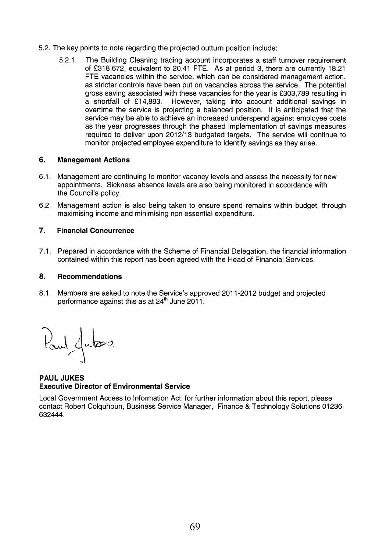- 5.2. The key points to note regarding the projected outturn position include:
	- 5.2.1. The Building Cleaning trading account incorporates a staff turnover requirement of €318,672, equivalent to 20.41 FTE. As at period 3, there are currently 18.21 FTE vacancies within the service, which can be considered management action, as stricter controls have been put on vacancies across the service. The potential gross saving associated with these vacancies for the year is €303,789 resulting in a shortfall of f14,883. However, taking into account additional savings in overtime the service is projecting a balanced position. It is anticipated that the service may be able to achieve an increased underspend against employee costs as the year progresses through the phased implementation of savings measures required to deliver upon 2012/13 budgeted targets. The service will continue to monitor projected employee expenditure to identify savings as they arise.

#### **6. Management Actions**

- 6.1. Management are continuing to monitor vacancy levels and assess the necessity for new appointments. Sickness absence levels are also being monitored in accordance with the Council's policy.
- 6.2. Management action is also being taken to ensure spend remains within budget, through maximising income and minimising non essential expenditure.

#### **7. Financial Concurrence**

7.1. Prepared in accordance with the Scheme of Financial Delegation, the financial information contained within this report has been agreed with the Head of Financial Services.

#### **a. Recommendations**

8.1. Members are asked to note the Service's approved 2011-2012 budget and projected performance against this as at 24<sup>th</sup> June 2011.

Paul Jutes

**PAUL JUKES Executive Director of Environmental Service** 

Local Government Access to Information Act: for further information about this report, please contact Robert Colquhoun, Business Service Manager, Finance & Technology Solutions 01236 632444.